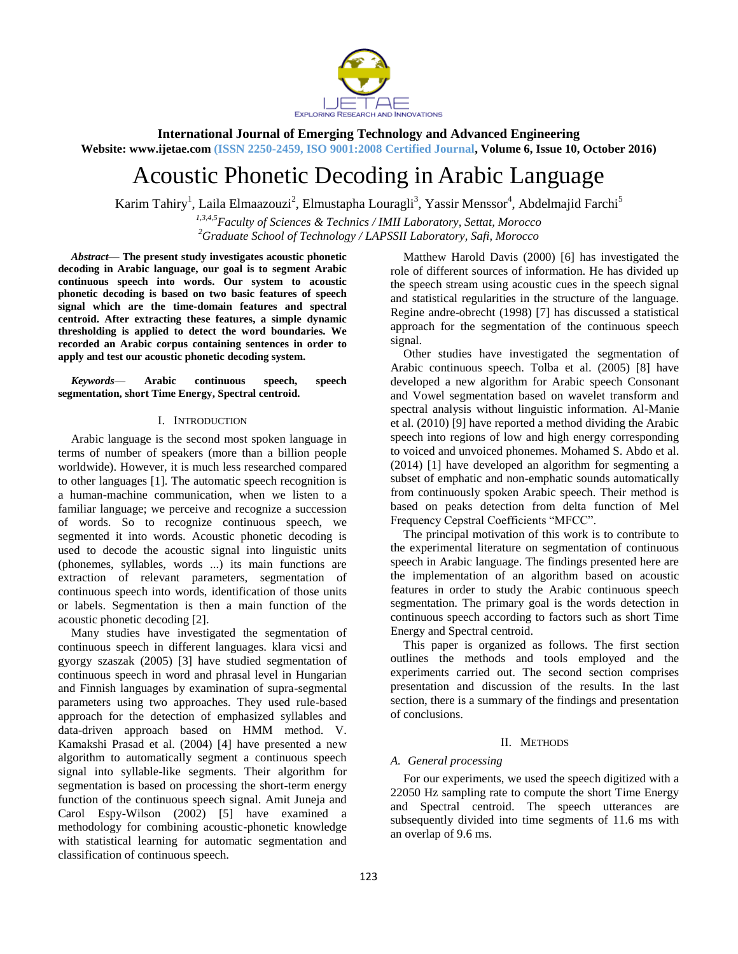

**International Journal of Emerging Technology and Advanced Engineering**

**Website: www.ijetae.com (ISSN 2250-2459, ISO 9001:2008 Certified Journal, Volume 6, Issue 10, October 2016)**

# Acoustic Phonetic Decoding in Arabic Language

Karim Tahiry<sup>1</sup>, Laila Elmaazouzi<sup>2</sup>, Elmustapha Louragli<sup>3</sup>, Yassir Menssor<sup>4</sup>, Abdelmajid Farchi<sup>5</sup>

*1,3,4,5Faculty of Sciences & Technics / IMII Laboratory, Settat, Morocco <sup>2</sup>Graduate School of Technology / LAPSSII Laboratory, Safi, Morocco*

*Abstract***— The present study investigates acoustic phonetic decoding in Arabic language, our goal is to segment Arabic continuous speech into words. Our system to acoustic phonetic decoding is based on two basic features of speech signal which are the time-domain features and spectral centroid. After extracting these features, a simple dynamic thresholding is applied to detect the word boundaries. We recorded an Arabic corpus containing sentences in order to apply and test our acoustic phonetic decoding system.**

*Keywords*— **Arabic continuous speech, speech segmentation, short Time Energy, Spectral centroid.**

## I. INTRODUCTION

Arabic language is the second most spoken language in terms of number of speakers (more than a billion people worldwide). However, it is much less researched compared to other languages [1]. The automatic speech recognition is a human-machine communication, when we listen to a familiar language; we perceive and recognize a succession of words. So to recognize continuous speech, we segmented it into words. Acoustic phonetic decoding is used to decode the acoustic signal into linguistic units (phonemes, syllables, words ...) its main functions are extraction of relevant parameters, segmentation of continuous speech into words, identification of those units or labels. Segmentation is then a main function of the acoustic phonetic decoding [2].

Many studies have investigated the segmentation of continuous speech in different languages. klara vicsi and gyorgy szaszak (2005) [3] have studied segmentation of continuous speech in word and phrasal level in Hungarian and Finnish languages by examination of supra-segmental parameters using two approaches. They used rule-based approach for the detection of emphasized syllables and data-driven approach based on HMM method. V. Kamakshi Prasad et al. (2004) [4] have presented a new algorithm to automatically segment a continuous speech signal into syllable-like segments. Their algorithm for segmentation is based on processing the short-term energy function of the continuous speech signal. Amit Juneja and Carol Espy-Wilson (2002) [5] have examined a methodology for combining acoustic-phonetic knowledge with statistical learning for automatic segmentation and classification of continuous speech.

Matthew Harold Davis (2000) [6] has investigated the role of different sources of information. He has divided up the speech stream using acoustic cues in the speech signal and statistical regularities in the structure of the language. Regine andre-obrecht (1998) [7] has discussed a statistical approach for the segmentation of the continuous speech signal.

Other studies have investigated the segmentation of Arabic continuous speech. Tolba et al. (2005) [8] have developed a new algorithm for Arabic speech Consonant and Vowel segmentation based on wavelet transform and spectral analysis without linguistic information. Al-Manie et al. (2010) [9] have reported a method dividing the Arabic speech into regions of low and high energy corresponding to voiced and unvoiced phonemes. Mohamed S. Abdo et al. (2014) [1] have developed an algorithm for segmenting a subset of emphatic and non-emphatic sounds automatically from continuously spoken Arabic speech. Their method is based on peaks detection from delta function of Mel Frequency Cepstral Coefficients "MFCC".

The principal motivation of this work is to contribute to the experimental literature on segmentation of continuous speech in Arabic language. The findings presented here are the implementation of an algorithm based on acoustic features in order to study the Arabic continuous speech segmentation. The primary goal is the words detection in continuous speech according to factors such as short Time Energy and Spectral centroid.

This paper is organized as follows. The first section outlines the methods and tools employed and the experiments carried out. The second section comprises presentation and discussion of the results. In the last section, there is a summary of the findings and presentation of conclusions.

#### II. METHODS

## *A. General processing*

For our experiments, we used the speech digitized with a 22050 Hz sampling rate to compute the short Time Energy and Spectral centroid. The speech utterances are subsequently divided into time segments of 11.6 ms with an overlap of 9.6 ms.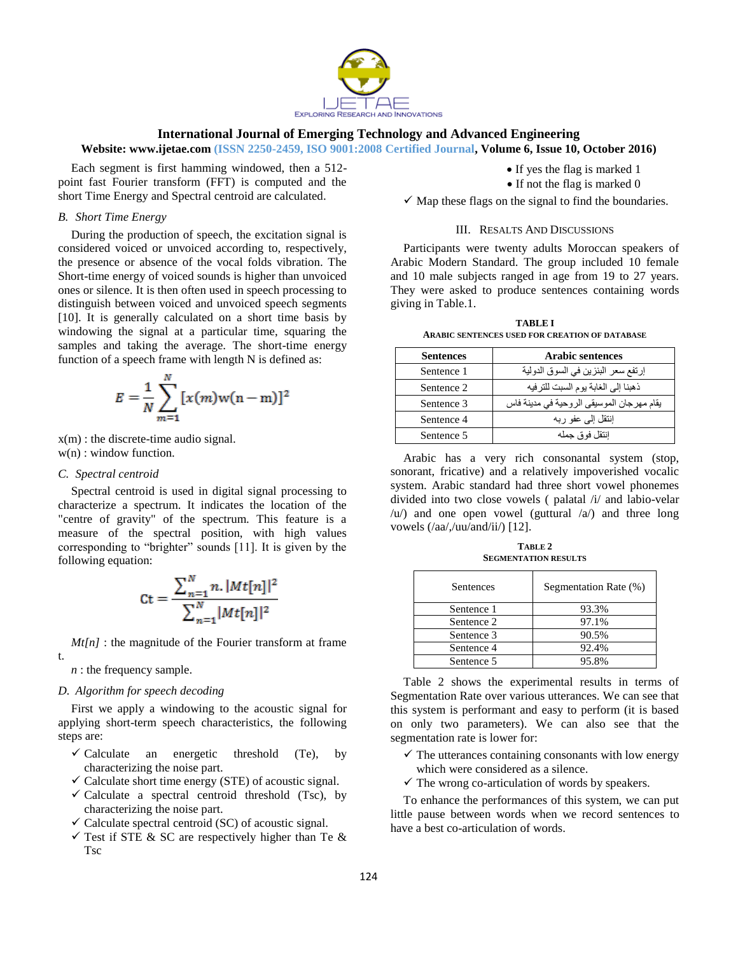

## **International Journal of Emerging Technology and Advanced Engineering**

**Website: www.ijetae.com (ISSN 2250-2459, ISO 9001:2008 Certified Journal, Volume 6, Issue 10, October 2016)**

Each segment is first hamming windowed, then a 512 point fast Fourier transform (FFT) is computed and the short Time Energy and Spectral centroid are calculated.

#### *B. Short Time Energy*

During the production of speech, the excitation signal is considered voiced or unvoiced according to, respectively, the presence or absence of the vocal folds vibration. The Short-time energy of voiced sounds is higher than unvoiced ones or silence. It is then often used in speech processing to distinguish between voiced and unvoiced speech segments [10]. It is generally calculated on a short time basis by windowing the signal at a particular time, squaring the samples and taking the average. The short-time energy function of a speech frame with length N is defined as:

$$
E = \frac{1}{N} \sum_{m=1}^{N} [x(m)w(n-m)]^{2}
$$

x(m) : the discrete-time audio signal.

 $\ddotsc$ 

w(n) : window function.

#### *C. Spectral centroid*

Spectral centroid is used in digital signal processing to characterize a spectrum. It indicates the location of the "centre of gravity" of the spectrum. This feature is a measure of the spectral position, with high values corresponding to "brighter" sounds  $[11]$ . It is given by the following equation:

$$
Ct = \frac{\sum_{n=1}^{N} n. |Mt[n]|^2}{\sum_{n=1}^{N} |Mt[n]|^2}
$$

*Mt[n]* : the magnitude of the Fourier transform at frame

## *n* : the frequency sample.

t.

#### *D. Algorithm for speech decoding*

First we apply a windowing to the acoustic signal for applying short-term speech characteristics, the following steps are:

- $\checkmark$  Calculate an energetic threshold (Te), by characterizing the noise part.
- $\checkmark$  Calculate short time energy (STE) of acoustic signal.
- $\checkmark$  Calculate a spectral centroid threshold (Tsc), by characterizing the noise part.
- $\checkmark$  Calculate spectral centroid (SC) of acoustic signal.
- $\checkmark$  Test if STE & SC are respectively higher than Te & Tsc
- If yes the flag is marked 1
- If not the flag is marked 0
- $\checkmark$  Map these flags on the signal to find the boundaries.

#### III. RESALTS AND DISCUSSIONS

Participants were twenty adults Moroccan speakers of Arabic Modern Standard. The group included 10 female and 10 male subjects ranged in age from 19 to 27 years. They were asked to produce sentences containing words giving in Table.1.

**TABLE I ARABIC SENTENCES USED FOR CREATION OF DATABASE**

| <b>Sentences</b> | <b>Arabic sentences</b>                   |
|------------------|-------------------------------------------|
| Sentence 1       | إرتفع سعر البنزين في السوق الدولية        |
| Sentence 2       | ذهبنا إلى الغابة يوم السبت للترفيه        |
| Sentence 3       | يقام مهرجان الموسيقى الروحية في مدينة فاس |
| Sentence 4       | إنتقل إلى عفو ربه                         |
| Sentence 5       | انتقل فو ق جمله                           |

Arabic has a very rich consonantal system (stop, sonorant, fricative) and a relatively impoverished vocalic system. Arabic standard had three short vowel phonemes divided into two close vowels ( palatal /i/ and labio-velar  $\langle u \rangle$  and one open vowel (guttural  $\langle a \rangle$ ) and three long vowels (/aa/,/uu/and/ii/) [12].

**TABLE 2 SEGMENTATION RESULTS**

| Sentences  | Segmentation Rate (%) |
|------------|-----------------------|
| Sentence 1 | 93.3%                 |
| Sentence 2 | 97.1%                 |
| Sentence 3 | 90.5%                 |
| Sentence 4 | 92.4%                 |
| Sentence 5 | 95.8%                 |

Table 2 shows the experimental results in terms of Segmentation Rate over various utterances. We can see that this system is performant and easy to perform (it is based on only two parameters). We can also see that the segmentation rate is lower for:

- $\checkmark$  The utterances containing consonants with low energy which were considered as a silence.
- $\checkmark$  The wrong co-articulation of words by speakers.

To enhance the performances of this system, we can put little pause between words when we record sentences to have a best co-articulation of words.